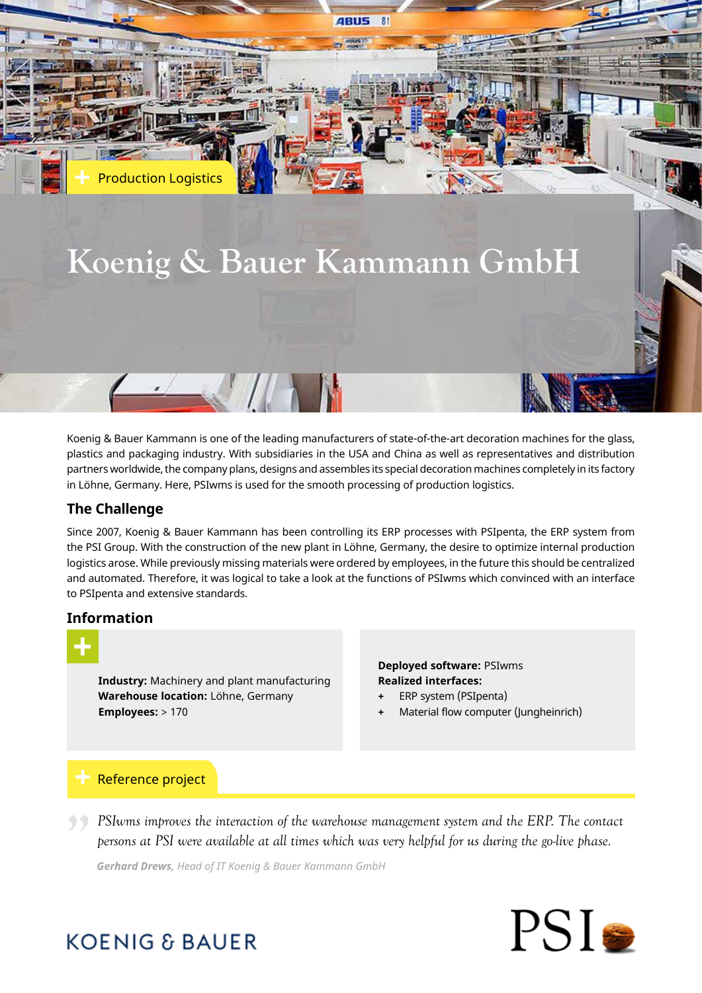# **Koenig & Bauer Kammann GmbH**

 $\sim$  10  $\sim$ 

**ABUS** 

Koenig & Bauer Kammann is one of the leading manufacturers of state-of-the-art decoration machines for the glass, plastics and packaging industry. With subsidiaries in the USA and China as well as representatives and distribution partners worldwide, the company plans, designs and assembles its special decoration machines completely in its factory in Löhne, Germany. Here, PSIwms is used for the smooth processing of production logistics.

# **The Challenge**

Production Logistics

Since 2007, Koenig & Bauer Kammann has been controlling its ERP processes with PSIpenta, the ERP system from the PSI Group. With the construction of the new plant in Löhne, Germany, the desire to optimize internal production logistics arose. While previously missing materials were ordered by employees, in the future this should be centralized and automated. Therefore, it was logical to take a look at the functions of PSIwms which convinced with an interface to PSIpenta and extensive standards.

# **Information**



**Industry:** Machinery and plant manufacturing **Warehouse location:** Löhne, Germany **Employees:** > 170

### **Deployed software:** PSIwms **Realized interfaces:**

- **+** ERP system (PSIpenta)
- **+** Material flow computer (Jungheinrich)

# Reference project

**PSI** PSIwms improves the interaction of the warehouse management system and the ERP. The contact persons at PSI were available at all times which was very helpful for us during the go-live phase. *persons at PSI were available at all times which was very helpful for us during the go-live phase.*

*Gerhard Drews, Head of IT Koenig & Bauer Kammann GmbH*



# **KOENIG & BAUER**